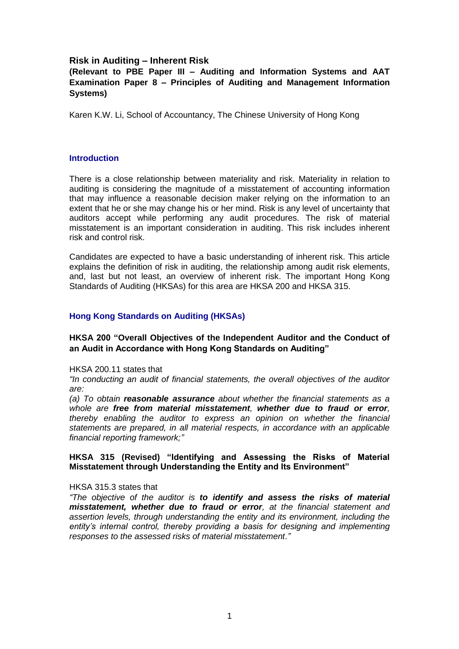## **Risk in Auditing – Inherent Risk**

## **(Relevant to PBE Paper III – Auditing and Information Systems and AAT Examination Paper 8 – Principles of Auditing and Management Information Systems)**

Karen K.W. Li, School of Accountancy, The Chinese University of Hong Kong

#### **Introduction**

There is a close relationship between materiality and risk. Materiality in relation to auditing is considering the magnitude of a misstatement of accounting information that may influence a reasonable decision maker relying on the information to an extent that he or she may change his or her mind. Risk is any level of uncertainty that auditors accept while performing any audit procedures. The risk of material misstatement is an important consideration in auditing. This risk includes inherent risk and control risk.

Candidates are expected to have a basic understanding of inherent risk. This article explains the definition of risk in auditing, the relationship among audit risk elements, and, last but not least, an overview of inherent risk. The important Hong Kong Standards of Auditing (HKSAs) for this area are HKSA 200 and HKSA 315.

### **Hong Kong Standards on Auditing (HKSAs)**

### **HKSA 200 "Overall Objectives of the Independent Auditor and the Conduct of an Audit in Accordance with Hong Kong Standards on Auditing"**

HKSA 200.11 states that

*"In conducting an audit of financial statements, the overall objectives of the auditor are:*

*(a) To obtain reasonable assurance about whether the financial statements as a whole are free from material misstatement, whether due to fraud or error, thereby enabling the auditor to express an opinion on whether the financial statements are prepared, in all material respects, in accordance with an applicable financial reporting framework;"*

### **HKSA 315 (Revised) "Identifying and Assessing the Risks of Material Misstatement through Understanding the Entity and Its Environment"**

#### HKSA 315.3 states that

*"The objective of the auditor is to identify and assess the risks of material misstatement, whether due to fraud or error, at the financial statement and assertion levels, through understanding the entity and its environment, including the entity's internal control, thereby providing a basis for designing and implementing responses to the assessed risks of material misstatement."*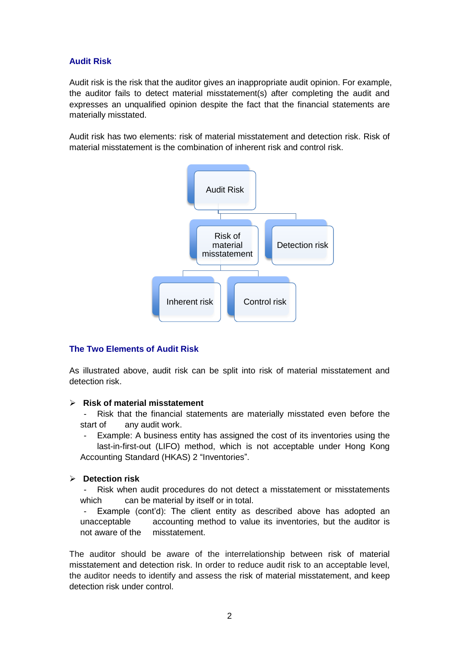# **Audit Risk**

Audit risk is the risk that the auditor gives an inappropriate audit opinion. For example, the auditor fails to detect material misstatement(s) after completing the audit and expresses an unqualified opinion despite the fact that the financial statements are materially misstated.

Audit risk has two elements: risk of material misstatement and detection risk. Risk of material misstatement is the combination of inherent risk and control risk.



# **The Two Elements of Audit Risk**

As illustrated above, audit risk can be split into risk of material misstatement and detection risk.

## **Risk of material misstatement**

Risk that the financial statements are materially misstated even before the start of any audit work.

Example: A business entity has assigned the cost of its inventories using the last-in-first-out (LIFO) method, which is not acceptable under Hong Kong Accounting Standard (HKAS) 2 "Inventories".

## **Detection risk**

- Risk when audit procedures do not detect a misstatement or misstatements which can be material by itself or in total.

- Example (cont'd): The client entity as described above has adopted an unacceptable accounting method to value its inventories, but the auditor is not aware of the misstatement.

The auditor should be aware of the interrelationship between risk of material misstatement and detection risk. In order to reduce audit risk to an acceptable level, the auditor needs to identify and assess the risk of material misstatement, and keep detection risk under control.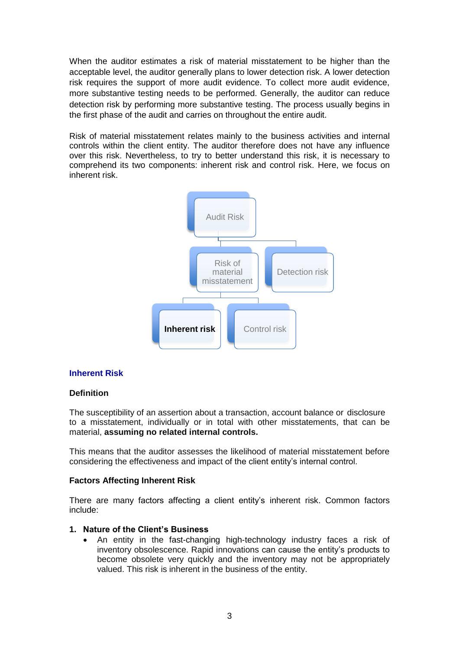When the auditor estimates a risk of material misstatement to be higher than the acceptable level, the auditor generally plans to lower detection risk. A lower detection risk requires the support of more audit evidence. To collect more audit evidence, more substantive testing needs to be performed. Generally, the auditor can reduce detection risk by performing more substantive testing. The process usually begins in the first phase of the audit and carries on throughout the entire audit.

Risk of material misstatement relates mainly to the business activities and internal controls within the client entity. The auditor therefore does not have any influence over this risk. Nevertheless, to try to better understand this risk, it is necessary to comprehend its two components: inherent risk and control risk. Here, we focus on inherent risk.



#### **Inherent Risk**

#### **Definition**

The susceptibility of an assertion about a transaction, account balance or disclosure to a misstatement, individually or in total with other misstatements, that can be material, **assuming no related internal controls.**

This means that the auditor assesses the likelihood of material misstatement before considering the effectiveness and impact of the client entity's internal control.

#### **Factors Affecting Inherent Risk**

There are many factors affecting a client entity's inherent risk. Common factors include:

## **1. Nature of the Client's Business**

 An entity in the fast-changing high-technology industry faces a risk of inventory obsolescence. Rapid innovations can cause the entity's products to become obsolete very quickly and the inventory may not be appropriately valued. This risk is inherent in the business of the entity.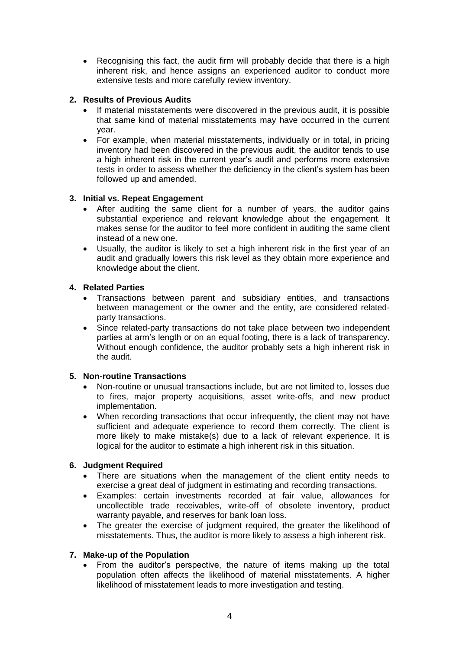Recognising this fact, the audit firm will probably decide that there is a high inherent risk, and hence assigns an experienced auditor to conduct more extensive tests and more carefully review inventory.

## **2. Results of Previous Audits**

- If material misstatements were discovered in the previous audit, it is possible that same kind of material misstatements may have occurred in the current year.
- For example, when material misstatements, individually or in total, in pricing inventory had been discovered in the previous audit, the auditor tends to use a high inherent risk in the current year's audit and performs more extensive tests in order to assess whether the deficiency in the client's system has been followed up and amended.

## **3. Initial vs. Repeat Engagement**

- After auditing the same client for a number of years, the auditor gains substantial experience and relevant knowledge about the engagement. It makes sense for the auditor to feel more confident in auditing the same client instead of a new one.
- Usually, the auditor is likely to set a high inherent risk in the first year of an audit and gradually lowers this risk level as they obtain more experience and knowledge about the client.

## **4. Related Parties**

- Transactions between parent and subsidiary entities, and transactions between management or the owner and the entity, are considered relatedparty transactions.
- Since related-party transactions do not take place between two independent parties at arm's length or on an equal footing, there is a lack of transparency. Without enough confidence, the auditor probably sets a high inherent risk in the audit.

# **5. Non-routine Transactions**

- Non-routine or unusual transactions include, but are not limited to, losses due to fires, major property acquisitions, asset write-offs, and new product implementation.
- When recording transactions that occur infrequently, the client may not have sufficient and adequate experience to record them correctly. The client is more likely to make mistake(s) due to a lack of relevant experience. It is logical for the auditor to estimate a high inherent risk in this situation.

# **6. Judgment Required**

- There are situations when the management of the client entity needs to exercise a great deal of judgment in estimating and recording transactions.
- Examples: certain investments recorded at fair value, allowances for uncollectible trade receivables, write-off of obsolete inventory, product warranty payable, and reserves for bank loan loss.
- The greater the exercise of judgment required, the greater the likelihood of misstatements. Thus, the auditor is more likely to assess a high inherent risk.

## **7. Make-up of the Population**

 From the auditor's perspective, the nature of items making up the total population often affects the likelihood of material misstatements. A higher likelihood of misstatement leads to more investigation and testing.